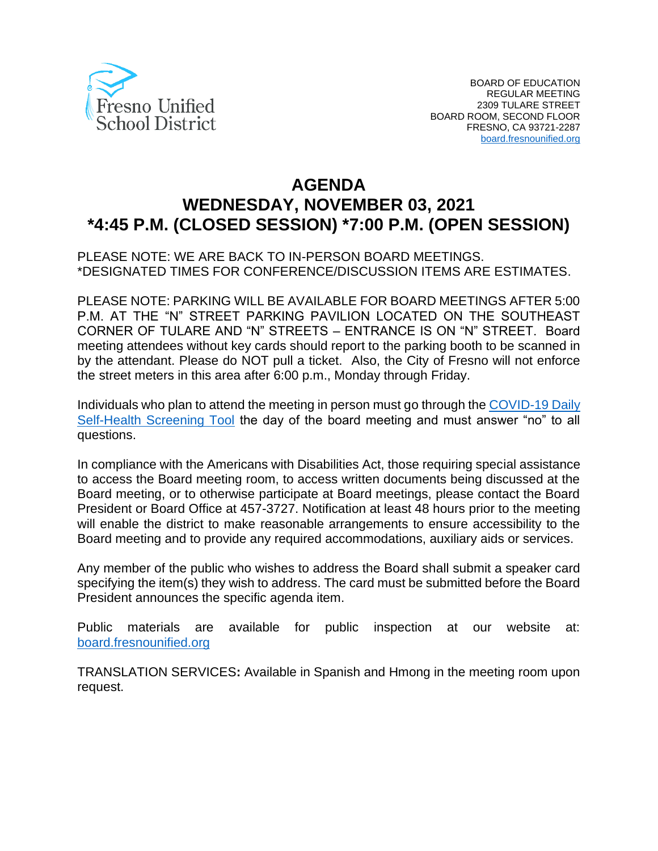

# **AGENDA WEDNESDAY, NOVEMBER 03, 2021 \*4:45 P.M. (CLOSED SESSION) \*7:00 P.M. (OPEN SESSION)**

#### PLEASE NOTE: WE ARE BACK TO IN-PERSON BOARD MEETINGS. \*DESIGNATED TIMES FOR CONFERENCE/DISCUSSION ITEMS ARE ESTIMATES.

PLEASE NOTE: PARKING WILL BE AVAILABLE FOR BOARD MEETINGS AFTER 5:00 P.M. AT THE "N" STREET PARKING PAVILION LOCATED ON THE SOUTHEAST CORNER OF TULARE AND "N" STREETS – ENTRANCE IS ON "N" STREET. Board meeting attendees without key cards should report to the parking booth to be scanned in by the attendant. Please do NOT pull a ticket. Also, the City of Fresno will not enforce the street meters in this area after 6:00 p.m., Monday through Friday.

Individuals who plan to attend the meeting in person must go through the [COVID-19 Daily](https://www.fresnounified.org/covid19/)  [Self-Health Screening Tool](https://www.fresnounified.org/covid19/) the day of the board meeting and must answer "no" to all questions.

In compliance with the Americans with Disabilities Act, those requiring special assistance to access the Board meeting room, to access written documents being discussed at the Board meeting, or to otherwise participate at Board meetings, please contact the Board President or Board Office at 457-3727. Notification at least 48 hours prior to the meeting will enable the district to make reasonable arrangements to ensure accessibility to the Board meeting and to provide any required accommodations, auxiliary aids or services.

Any member of the public who wishes to address the Board shall submit a speaker card specifying the item(s) they wish to address. The card must be submitted before the Board President announces the specific agenda item.

Public materials are available for public inspection at our website at: [board.fresnounified.org](https://board.fresnounified.org/)

TRANSLATION SERVICES**:** Available in Spanish and Hmong in the meeting room upon request.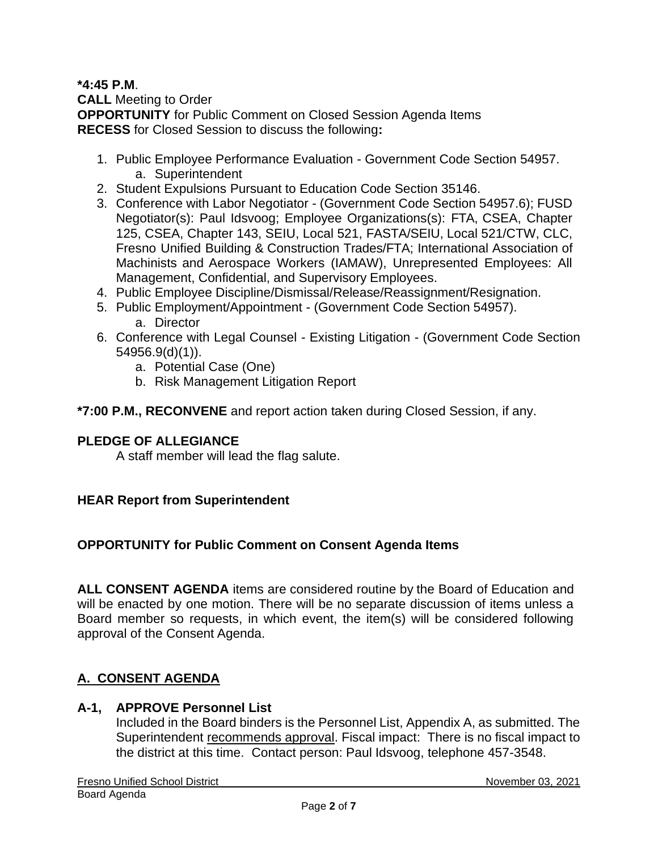#### **\*4:45 P.M**. **CALL** Meeting to Order **OPPORTUNITY** for Public Comment on Closed Session Agenda Items **RECESS** for Closed Session to discuss the following**:**

- 1. Public Employee Performance Evaluation Government Code Section 54957. a. Superintendent
- 2. Student Expulsions Pursuant to Education Code Section 35146.
- 3. Conference with Labor Negotiator (Government Code Section 54957.6); FUSD Negotiator(s): Paul Idsvoog; Employee Organizations(s): FTA, CSEA, Chapter 125, CSEA, Chapter 143, SEIU, Local 521, FASTA/SEIU, Local 521/CTW, CLC, Fresno Unified Building & Construction Trades/FTA; International Association of Machinists and Aerospace Workers (IAMAW), Unrepresented Employees: All Management, Confidential, and Supervisory Employees.
- 4. Public Employee Discipline/Dismissal/Release/Reassignment/Resignation.
- 5. Public Employment/Appointment (Government Code Section 54957). a. Director
- 6. Conference with Legal Counsel Existing Litigation (Government Code Section 54956.9(d)(1)).
	- a. Potential Case (One)
	- b. Risk Management Litigation Report

### **\*7:00 P.M., RECONVENE** and report action taken during Closed Session, if any.

#### **PLEDGE OF ALLEGIANCE**

A staff member will lead the flag salute.

### **HEAR Report from Superintendent**

### **OPPORTUNITY for Public Comment on Consent Agenda Items**

**ALL CONSENT AGENDA** items are considered routine by the Board of Education and will be enacted by one motion. There will be no separate discussion of items unless a Board member so requests, in which event, the item(s) will be considered following approval of the Consent Agenda.

# **A. CONSENT AGENDA**

### **A-1, APPROVE Personnel List**

Included in the Board binders is the Personnel List, Appendix A, as submitted. The Superintendent recommends approval. Fiscal impact: There is no fiscal impact to the district at this time. Contact person: Paul Idsvoog, telephone 457-3548.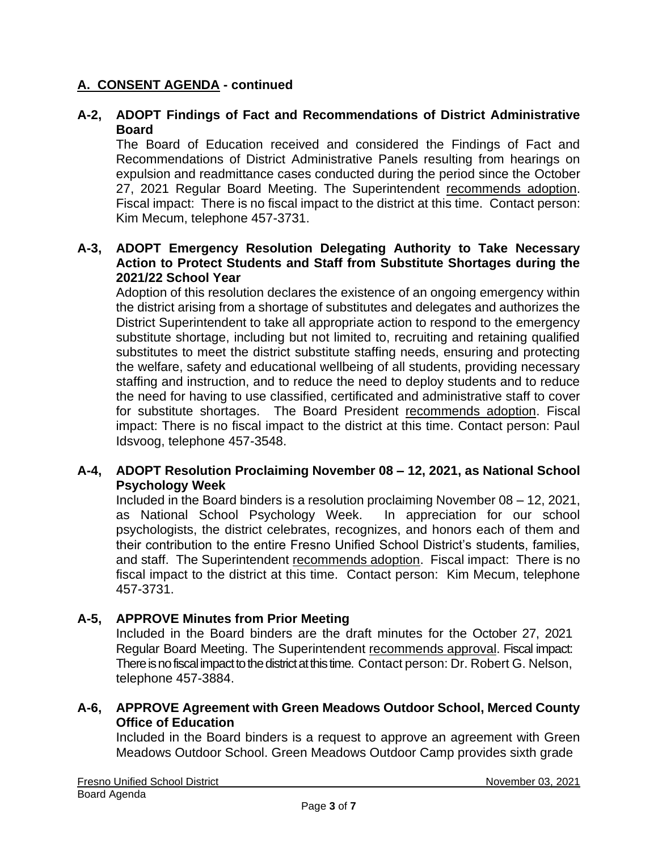### **A. CONSENT AGENDA - continued**

### **A-2, ADOPT Findings of Fact and Recommendations of District Administrative Board**

The Board of Education received and considered the Findings of Fact and Recommendations of District Administrative Panels resulting from hearings on expulsion and readmittance cases conducted during the period since the October 27, 2021 Regular Board Meeting. The Superintendent recommends adoption. Fiscal impact: There is no fiscal impact to the district at this time. Contact person: Kim Mecum, telephone 457-3731.

#### **A-3, ADOPT Emergency Resolution Delegating Authority to Take Necessary Action to Protect Students and Staff from Substitute Shortages during the 2021/22 School Year**

Adoption of this resolution declares the existence of an ongoing emergency within the district arising from a shortage of substitutes and delegates and authorizes the District Superintendent to take all appropriate action to respond to the emergency substitute shortage, including but not limited to, recruiting and retaining qualified substitutes to meet the district substitute staffing needs, ensuring and protecting the welfare, safety and educational wellbeing of all students, providing necessary staffing and instruction, and to reduce the need to deploy students and to reduce the need for having to use classified, certificated and administrative staff to cover for substitute shortages. The Board President recommends adoption. Fiscal impact: There is no fiscal impact to the district at this time. Contact person: Paul Idsvoog, telephone 457-3548.

#### **A-4, ADOPT Resolution Proclaiming November 08 – 12, 2021, as National School Psychology Week**

Included in the Board binders is a resolution proclaiming November 08 – 12, 2021, as National School Psychology Week. In appreciation for our school psychologists, the district celebrates, recognizes, and honors each of them and their contribution to the entire Fresno Unified School District's students, families, and staff. The Superintendent recommends adoption. Fiscal impact: There is no fiscal impact to the district at this time. Contact person: Kim Mecum, telephone 457-3731.

### **A-5, APPROVE Minutes from Prior Meeting**

Included in the Board binders are the draft minutes for the October 27, 2021 Regular Board Meeting. The Superintendent recommends approval. Fiscal impact: There is no fiscal impact to the district at this time. Contact person: Dr. Robert G. Nelson, telephone 457-3884.

#### **A-6, APPROVE Agreement with Green Meadows Outdoor School, Merced County Office of Education**

Included in the Board binders is a request to approve an agreement with Green Meadows Outdoor School. Green Meadows Outdoor Camp provides sixth grade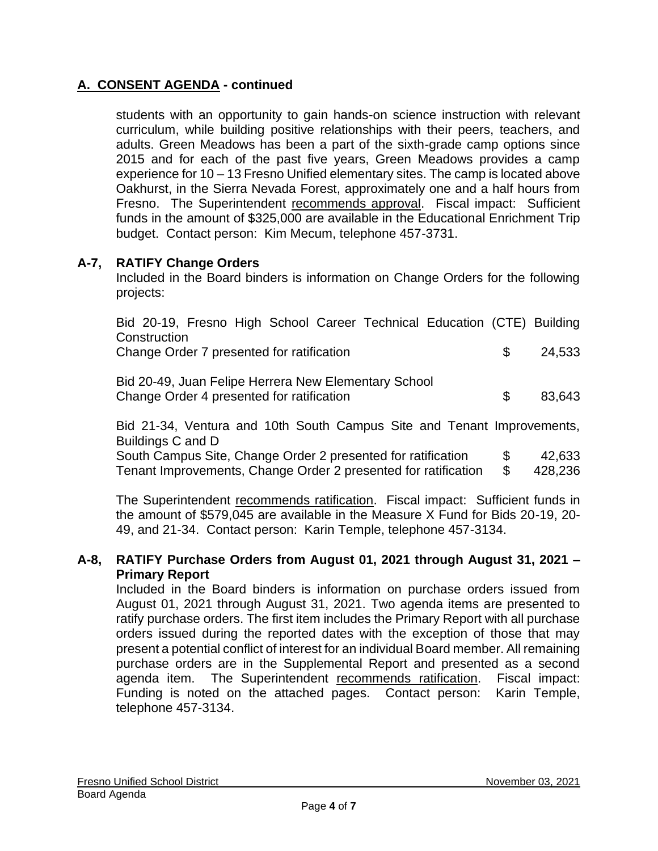# **A. CONSENT AGENDA - continued**

students with an opportunity to gain hands-on science instruction with relevant curriculum, while building positive relationships with their peers, teachers, and adults. Green Meadows has been a part of the sixth-grade camp options since 2015 and for each of the past five years, Green Meadows provides a camp experience for 10 – 13 Fresno Unified elementary sites. The camp is located above Oakhurst, in the Sierra Nevada Forest, approximately one and a half hours from Fresno. The Superintendent recommends approval. Fiscal impact: Sufficient funds in the amount of \$325,000 are available in the Educational Enrichment Trip budget. Contact person: Kim Mecum, telephone 457-3731.

### **A-7, RATIFY Change Orders**

Included in the Board binders is information on Change Orders for the following projects:

| Bid 20-19, Fresno High School Career Technical Education (CTE) Building |     |        |
|-------------------------------------------------------------------------|-----|--------|
| Construction                                                            |     |        |
| Change Order 7 presented for ratification                               | ·SS | 24,533 |
| Bid 20-49, Juan Felipe Herrera New Elementary School                    |     |        |
| Change Order 4 presented for ratification                               | \$. | 83,643 |
|                                                                         |     |        |

Bid 21-34, Ventura and 10th South Campus Site and Tenant Improvements, Buildings C and D

| South Campus Site, Change Order 2 presented for ratification   |      | 42,633  |
|----------------------------------------------------------------|------|---------|
| Tenant Improvements, Change Order 2 presented for ratification | - \$ | 428,236 |

The Superintendent recommends ratification. Fiscal impact: Sufficient funds in the amount of \$579,045 are available in the Measure X Fund for Bids 20-19, 20- 49, and 21-34. Contact person: Karin Temple, telephone 457-3134.

#### **A-8, RATIFY Purchase Orders from August 01, 2021 through August 31, 2021 – Primary Report**

Included in the Board binders is information on purchase orders issued from August 01, 2021 through August 31, 2021. Two agenda items are presented to ratify purchase orders. The first item includes the Primary Report with all purchase orders issued during the reported dates with the exception of those that may present a potential conflict of interest for an individual Board member. All remaining purchase orders are in the Supplemental Report and presented as a second agenda item. The Superintendent recommends ratification. Fiscal impact: Funding is noted on the attached pages. Contact person: Karin Temple, telephone 457-3134.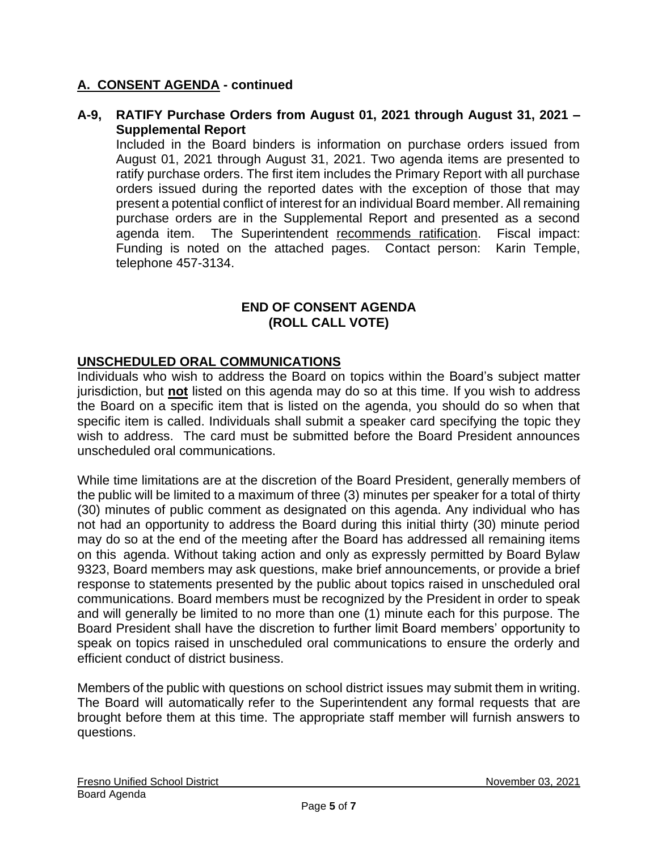### **A. CONSENT AGENDA - continued**

#### **A-9, RATIFY Purchase Orders from August 01, 2021 through August 31, 2021 – Supplemental Report**

Included in the Board binders is information on purchase orders issued from August 01, 2021 through August 31, 2021. Two agenda items are presented to ratify purchase orders. The first item includes the Primary Report with all purchase orders issued during the reported dates with the exception of those that may present a potential conflict of interest for an individual Board member. All remaining purchase orders are in the Supplemental Report and presented as a second agenda item. The Superintendent recommends ratification. Fiscal impact: Funding is noted on the attached pages. Contact person: Karin Temple, telephone 457-3134.

### **END OF CONSENT AGENDA (ROLL CALL VOTE)**

#### **UNSCHEDULED ORAL COMMUNICATIONS**

Individuals who wish to address the Board on topics within the Board's subject matter jurisdiction, but **not** listed on this agenda may do so at this time. If you wish to address the Board on a specific item that is listed on the agenda, you should do so when that specific item is called. Individuals shall submit a speaker card specifying the topic they wish to address. The card must be submitted before the Board President announces unscheduled oral communications.

While time limitations are at the discretion of the Board President, generally members of the public will be limited to a maximum of three (3) minutes per speaker for a total of thirty (30) minutes of public comment as designated on this agenda. Any individual who has not had an opportunity to address the Board during this initial thirty (30) minute period may do so at the end of the meeting after the Board has addressed all remaining items on this agenda. Without taking action and only as expressly permitted by Board Bylaw 9323, Board members may ask questions, make brief announcements, or provide a brief response to statements presented by the public about topics raised in unscheduled oral communications. Board members must be recognized by the President in order to speak and will generally be limited to no more than one (1) minute each for this purpose. The Board President shall have the discretion to further limit Board members' opportunity to speak on topics raised in unscheduled oral communications to ensure the orderly and efficient conduct of district business.

Members of the public with questions on school district issues may submit them in writing. The Board will automatically refer to the Superintendent any formal requests that are brought before them at this time. The appropriate staff member will furnish answers to questions.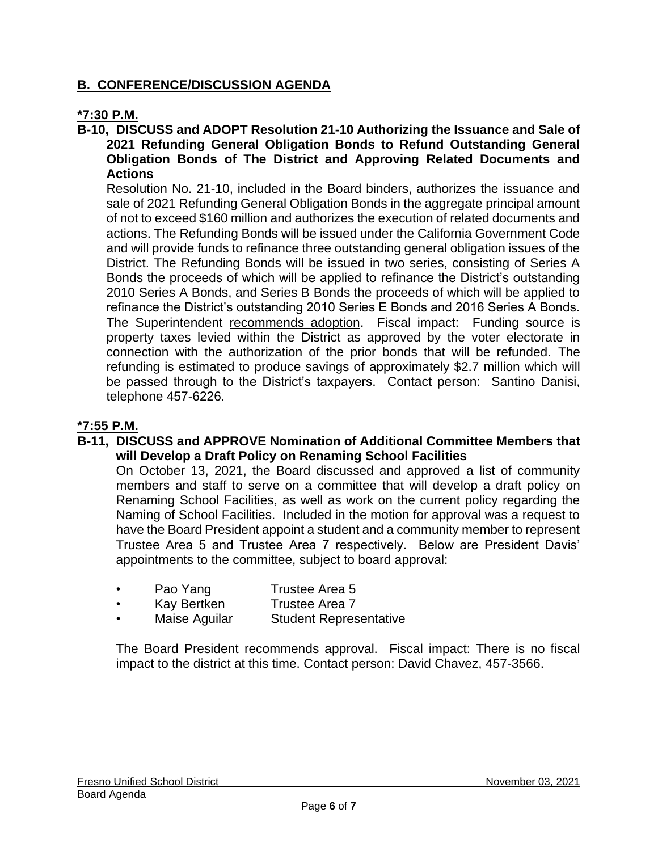### **B. CONFERENCE/DISCUSSION AGENDA**

### **\*7:30 P.M.**

#### **B-10, DISCUSS and ADOPT Resolution 21-10 Authorizing the Issuance and Sale of 2021 Refunding General Obligation Bonds to Refund Outstanding General Obligation Bonds of The District and Approving Related Documents and Actions**

Resolution No. 21-10, included in the Board binders, authorizes the issuance and sale of 2021 Refunding General Obligation Bonds in the aggregate principal amount of not to exceed \$160 million and authorizes the execution of related documents and actions. The Refunding Bonds will be issued under the California Government Code and will provide funds to refinance three outstanding general obligation issues of the District. The Refunding Bonds will be issued in two series, consisting of Series A Bonds the proceeds of which will be applied to refinance the District's outstanding 2010 Series A Bonds, and Series B Bonds the proceeds of which will be applied to refinance the District's outstanding 2010 Series E Bonds and 2016 Series A Bonds. The Superintendent recommends adoption. Fiscal impact: Funding source is property taxes levied within the District as approved by the voter electorate in connection with the authorization of the prior bonds that will be refunded. The refunding is estimated to produce savings of approximately \$2.7 million which will be passed through to the District's taxpayers. Contact person: Santino Danisi, telephone 457-6226.

#### **\*7:55 P.M.**

#### **B-11, DISCUSS and APPROVE Nomination of Additional Committee Members that will Develop a Draft Policy on Renaming School Facilities**

On October 13, 2021, the Board discussed and approved a list of community members and staff to serve on a committee that will develop a draft policy on Renaming School Facilities, as well as work on the current policy regarding the Naming of School Facilities. Included in the motion for approval was a request to have the Board President appoint a student and a community member to represent Trustee Area 5 and Trustee Area 7 respectively. Below are President Davis' appointments to the committee, subject to board approval:

- Pao Yang Trustee Area 5
- Kay Bertken Trustee Area 7
- Maise Aguilar Student Representative

The Board President recommends approval. Fiscal impact: There is no fiscal impact to the district at this time. Contact person: David Chavez, 457-3566.